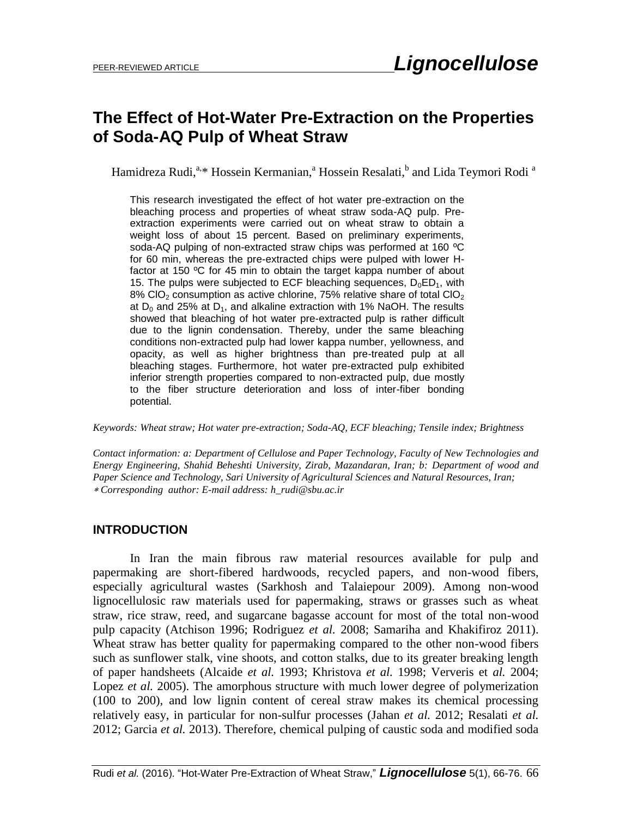# **The Effect of Hot-Water Pre-Extraction on the Properties of Soda-AQ Pulp of Wheat Straw**

Hamidreza Rudi,<sup>a,</sup>\* Hossein Kermanian,<sup>a</sup> Hossein Resalati,<sup>b</sup> and Lida Teymori Rodi <sup>a</sup>

This research investigated the effect of hot water pre-extraction on the bleaching process and properties of wheat straw soda-AQ pulp. Preextraction experiments were carried out on wheat straw to obtain a weight loss of about 15 percent. Based on preliminary experiments, soda-AQ pulping of non-extracted straw chips was performed at 160 °C for 60 min, whereas the pre-extracted chips were pulped with lower Hfactor at 150 ºC for 45 min to obtain the target kappa number of about 15. The pulps were subjected to ECF bleaching sequences,  $D_0ED_1$ , with 8% CIO<sub>2</sub> consumption as active chlorine, 75% relative share of total CIO<sub>2</sub> at  $D_0$  and 25% at  $D_1$ , and alkaline extraction with 1% NaOH. The results showed that bleaching of hot water pre-extracted pulp is rather difficult due to the lignin condensation. Thereby, under the same bleaching conditions non-extracted pulp had lower kappa number, yellowness, and opacity, as well as higher brightness than pre-treated pulp at all bleaching stages. Furthermore, hot water pre-extracted pulp exhibited inferior strength properties compared to non-extracted pulp, due mostly to the fiber structure deterioration and loss of inter-fiber bonding potential.

*Keywords: Wheat straw; Hot water pre-extraction; Soda-AQ, ECF bleaching; Tensile index; Brightness*

*Contact information: a: Department of Cellulose and Paper Technology, Faculty of New Technologies and Energy Engineering, Shahid Beheshti University, Zirab, Mazandaran, Iran; b: Department of wood and Paper Science and Technology, Sari University of Agricultural Sciences and Natural Resources, Iran; Corresponding author: E-mail address: [h\\_rudi@sbu.ac.ir](mailto:h_rudi@sbu.ac.ir)*

## **INTRODUCTION**

In Iran the main fibrous raw material resources available for pulp and papermaking are short-fibered hardwoods, recycled papers, and non-wood fibers, especially agricultural wastes (Sarkhosh and Talaiepour 2009). Among non-wood lignocellulosic raw materials used for papermaking, straws or grasses such as wheat straw, rice straw, reed, and sugarcane bagasse account for most of the total non-wood pulp capacity (Atchison 1996; Rodriguez *et al.* 2008; Samariha and Khakifiroz 2011). Wheat straw has better quality for papermaking compared to the other non-wood fibers such as sunflower stalk, vine shoots, and cotton stalks, due to its greater breaking length of paper handsheets (Alcaide *et al.* 1993; Khristova *et al.* 1998; Ververis et *al.* 2004; Lopez *et al.* 2005). The amorphous structure with much lower degree of polymerization (100 to 200), and low lignin content of cereal straw makes its chemical processing relatively easy, in particular for non-sulfur processes (Jahan *et al.* 2012; Resalati *et al.* 2012; Garcia *et al.* 2013). Therefore, chemical pulping of caustic soda and modified soda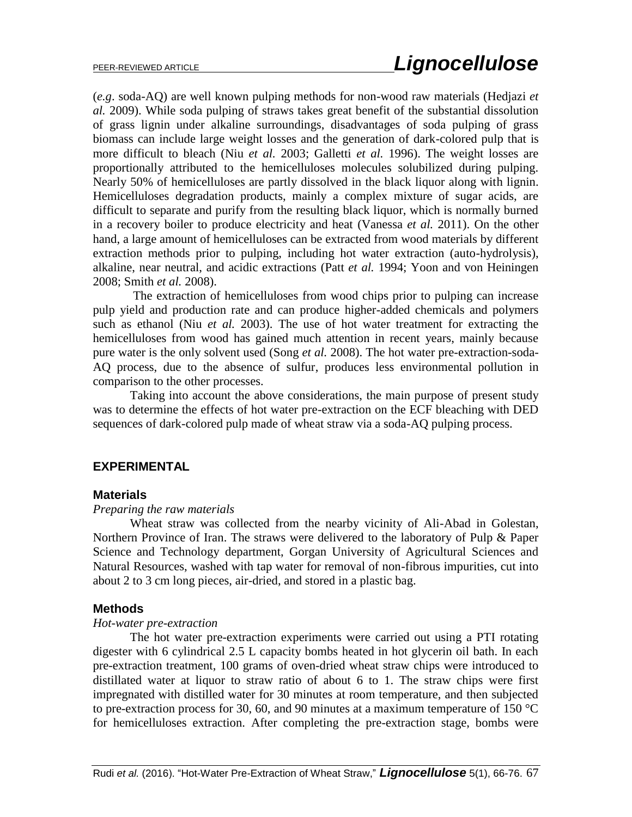(*e.g*. soda-AQ) are well known pulping methods for non-wood raw materials (Hedjazi *et al.* 2009). While soda pulping of straws takes great benefit of the substantial dissolution of grass lignin under alkaline surroundings, disadvantages of soda pulping of grass biomass can include large weight losses and the generation of dark-colored pulp that is more difficult to bleach (Niu *et al.* 2003; Galletti *et al.* 1996). The weight losses are proportionally attributed to the hemicelluloses molecules solubilized during pulping. Nearly 50% of hemicelluloses are partly dissolved in the black liquor along with lignin. Hemicelluloses degradation products, mainly a complex mixture of sugar acids, are difficult to separate and purify from the resulting black liquor, which is normally burned in a recovery boiler to produce electricity and heat (Vanessa *et al.* 2011). On the other hand, a large amount of hemicelluloses can be extracted from wood materials by different extraction methods prior to pulping, including hot water extraction (auto-hydrolysis), alkaline, near neutral, and acidic extractions (Patt *et al.* 1994; Yoon and von Heiningen 2008; Smith *et al.* 2008).

The extraction of hemicelluloses from wood chips prior to pulping can increase pulp yield and production rate and can produce higher-added chemicals and polymers such as ethanol (Niu *et al.* 2003). The use of hot water treatment for extracting the hemicelluloses from wood has gained much attention in recent years, mainly because pure water is the only solvent used (Song *et al.* 2008). The hot water pre-extraction-soda-AQ process, due to the absence of sulfur, produces less environmental pollution in comparison to the other processes.

Taking into account the above considerations, the main purpose of present study was to determine the effects of hot water pre-extraction on the ECF bleaching with DED sequences of dark-colored pulp made of wheat straw via a soda-AQ pulping process.

## **EXPERIMENTAL**

#### **Materials**

#### *Preparing the raw materials*

Wheat straw was collected from the nearby vicinity of Ali-Abad in Golestan, Northern Province of Iran. The straws were delivered to the laboratory of Pulp & Paper Science and Technology department, Gorgan University of Agricultural Sciences and Natural Resources, washed with tap water for removal of non-fibrous impurities, cut into about 2 to 3 cm long pieces, air-dried, and stored in a plastic bag.

#### **Methods**

#### *Hot-water pre-extraction*

The hot water pre-extraction experiments were carried out using a PTI rotating digester with 6 cylindrical 2.5 L capacity bombs heated in hot glycerin oil bath. In each pre-extraction treatment, 100 grams of oven-dried wheat straw chips were introduced to distillated water at liquor to straw ratio of about 6 to 1. The straw chips were first impregnated with distilled water for 30 minutes at room temperature, and then subjected to pre-extraction process for 30, 60, and 90 minutes at a maximum temperature of 150  $^{\circ}$ C for hemicelluloses extraction. After completing the pre-extraction stage, bombs were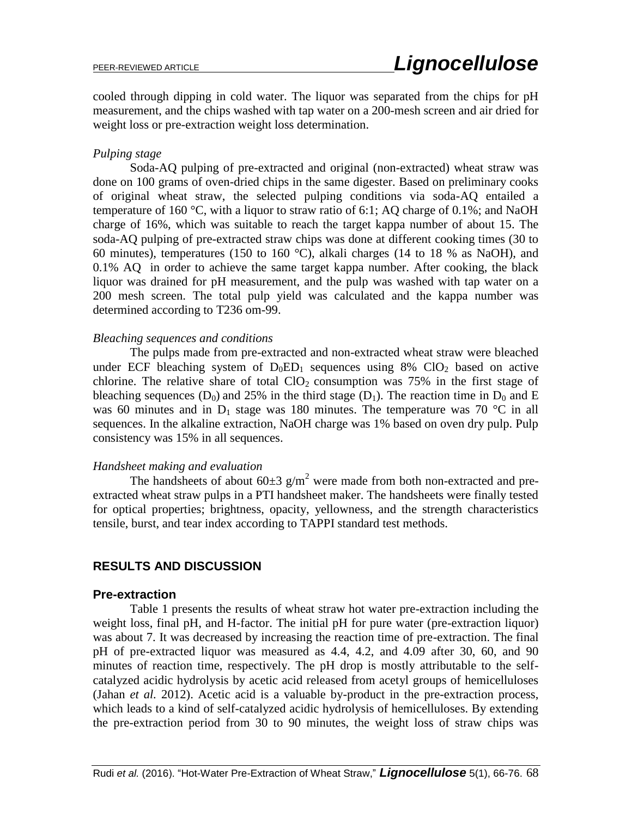cooled through dipping in cold water. The liquor was separated from the chips for pH measurement, and the chips washed with tap water on a 200-mesh screen and air dried for weight loss or pre-extraction weight loss determination.

#### *Pulping stage*

Soda-AQ pulping of pre-extracted and original (non-extracted) wheat straw was done on 100 grams of oven-dried chips in the same digester. Based on preliminary cooks of original wheat straw, the selected pulping conditions via soda-AQ entailed a temperature of 160 °C, with a liquor to straw ratio of 6:1; AQ charge of 0.1%; and NaOH charge of 16%, which was suitable to reach the target kappa number of about 15. The soda-AQ pulping of pre-extracted straw chips was done at different cooking times (30 to 60 minutes), temperatures (150 to 160 °C), alkali charges (14 to 18 % as NaOH), and 0.1% AQ in order to achieve the same target kappa number. After cooking, the black liquor was drained for pH measurement, and the pulp was washed with tap water on a 200 mesh screen. The total pulp yield was calculated and the kappa number was determined according to T236 om-99.

#### *Bleaching sequences and conditions*

The pulps made from pre-extracted and non-extracted wheat straw were bleached under ECF bleaching system of  $D_0ED_1$  sequences using 8% ClO<sub>2</sub> based on active chlorine. The relative share of total  $ClO<sub>2</sub>$  consumption was 75% in the first stage of bleaching sequences  $(D_0)$  and 25% in the third stage  $(D_1)$ . The reaction time in  $D_0$  and E was 60 minutes and in  $D_1$  stage was 180 minutes. The temperature was 70 °C in all sequences. In the alkaline extraction, NaOH charge was 1% based on oven dry pulp. Pulp consistency was 15% in all sequences.

#### *Handsheet making and evaluation*

The handsheets of about  $60\pm 3$  g/m<sup>2</sup> were made from both non-extracted and preextracted wheat straw pulps in a PTI handsheet maker. The handsheets were finally tested for optical properties; brightness, opacity, yellowness, and the strength characteristics tensile, burst, and tear index according to TAPPI standard test methods.

## **RESULTS AND DISCUSSION**

#### **Pre-extraction**

Table 1 presents the results of wheat straw hot water pre-extraction including the weight loss, final pH, and H-factor. The initial pH for pure water (pre-extraction liquor) was about 7. It was decreased by increasing the reaction time of pre-extraction. The final pH of pre-extracted liquor was measured as 4.4, 4.2, and 4.09 after 30, 60, and 90 minutes of reaction time, respectively. The pH drop is mostly attributable to the selfcatalyzed acidic hydrolysis by acetic acid released from acetyl groups of hemicelluloses (Jahan *et al.* 2012). Acetic acid is a valuable by-product in the pre-extraction process, which leads to a kind of self-catalyzed acidic hydrolysis of hemicelluloses. By extending the pre-extraction period from 30 to 90 minutes, the weight loss of straw chips was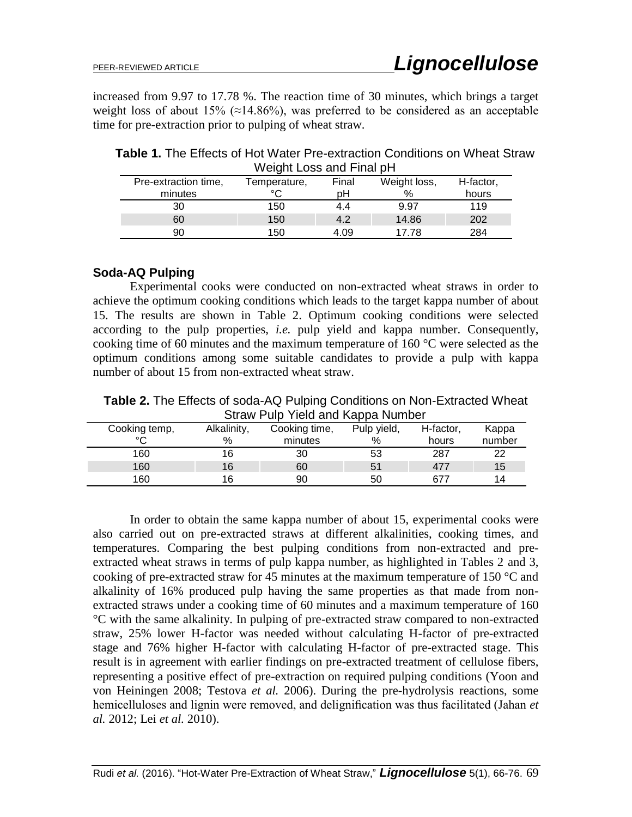increased from 9.97 to 17.78 %. The reaction time of 30 minutes, which brings a target weight loss of about 15% ( $\approx$ 14.86%), was preferred to be considered as an acceptable time for pre-extraction prior to pulping of wheat straw.

**Table 1.** The Effects of Hot Water Pre-extraction Conditions on Wheat Straw Weight Loss and Final pH

| Pre-extraction time, |         | Temperature, | Final | Weight loss, | H-factor, |  |
|----------------------|---------|--------------|-------|--------------|-----------|--|
|                      | minutes | ∘∩           | pН    | %            | hours     |  |
|                      | 30      | 150          | 4.4   | 9.97         | 119       |  |
|                      | 60      | 150          | 4.2   | 14.86        | 202       |  |
|                      | 90      | 150          | 4.09  | 17 78        | 284       |  |

## **Soda-AQ Pulping**

Experimental cooks were conducted on non-extracted wheat straws in order to achieve the optimum cooking conditions which leads to the target kappa number of about 15. The results are shown in Table 2. Optimum cooking conditions were selected according to the pulp properties, *i.e.* pulp yield and kappa number. Consequently, cooking time of 60 minutes and the maximum temperature of 160 °C were selected as the optimum conditions among some suitable candidates to provide a pulp with kappa number of about 15 from non-extracted wheat straw.

**Table 2.** The Effects of soda-AQ Pulping Conditions on Non-Extracted Wheat Straw Pulp Yield and Kappa Number

| <u>UNUS TUDI UNU UNU NUPPU ISUNUUT</u> |             |               |             |           |        |  |  |
|----------------------------------------|-------------|---------------|-------------|-----------|--------|--|--|
| Cooking temp,                          | Alkalinity, | Cooking time, | Pulp yield, | H-factor, | Kappa  |  |  |
| $\sim$                                 | $\%$        | minutes       | %           | hours     | number |  |  |
| 160                                    | 16          | 30            | 53          | 287       | 22     |  |  |
| 160                                    | 16          | 60            | 51          | 477       | 15     |  |  |
| 160                                    | 16          | 90            | 50          | 677       | 14     |  |  |

In order to obtain the same kappa number of about 15, experimental cooks were also carried out on pre-extracted straws at different alkalinities, cooking times, and temperatures. Comparing the best pulping conditions from non-extracted and preextracted wheat straws in terms of pulp kappa number, as highlighted in Tables 2 and 3, cooking of pre-extracted straw for 45 minutes at the maximum temperature of 150 °C and alkalinity of 16% produced pulp having the same properties as that made from nonextracted straws under a cooking time of 60 minutes and a maximum temperature of 160 °C with the same alkalinity. In pulping of pre-extracted straw compared to non-extracted straw, 25% lower H-factor was needed without calculating H-factor of pre-extracted stage and 76% higher H-factor with calculating H-factor of pre-extracted stage. This result is in agreement with earlier findings on pre-extracted treatment of cellulose fibers, representing a positive effect of pre-extraction on required pulping conditions (Yoon and von Heiningen 2008; Testova *et al.* 2006). During the pre-hydrolysis reactions, some hemicelluloses and lignin were removed, and delignification was thus facilitated (Jahan *et al.* 2012; Lei *et al.* 2010).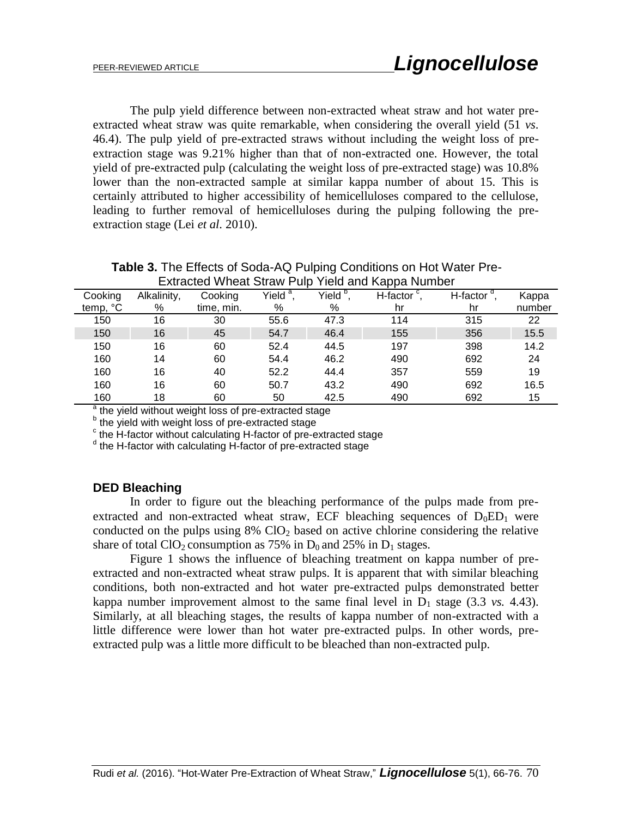The pulp yield difference between non-extracted wheat straw and hot water preextracted wheat straw was quite remarkable, when considering the overall yield (51 *vs*. 46.4). The pulp yield of pre-extracted straws without including the weight loss of preextraction stage was 9.21% higher than that of non-extracted one. However, the total yield of pre-extracted pulp (calculating the weight loss of pre-extracted stage) was 10.8% lower than the non-extracted sample at similar kappa number of about 15. This is certainly attributed to higher accessibility of hemicelluloses compared to the cellulose, leading to further removal of hemicelluloses during the pulping following the preextraction stage (Lei *et al.* 2010).

| Extracted vyheat Straw Pulp Yield and Kappa Number |             |            |                      |                      |                    |              |        |
|----------------------------------------------------|-------------|------------|----------------------|----------------------|--------------------|--------------|--------|
| Cooking                                            | Alkalinity, | Cooking    | Yield <sup>a</sup> , | Yield <sup>b</sup> . | H-factor $\degree$ | H-factor $d$ | Kappa  |
| temp, °C                                           | %           | time, min. | %                    | %                    | hr                 | hr           | number |
| 150                                                | 16          | 30         | 55.6                 | 47.3                 | 114                | 315          | 22     |
| 150                                                | 16          | 45         | 54.7                 | 46.4                 | 155                | 356          | 15.5   |
| 150                                                | 16          | 60         | 52.4                 | 44.5                 | 197                | 398          | 14.2   |
| 160                                                | 14          | 60         | 54.4                 | 46.2                 | 490                | 692          | 24     |
| 160                                                | 16          | 40         | 52.2                 | 44.4                 | 357                | 559          | 19     |
| 160                                                | 16          | 60         | 50.7                 | 43.2                 | 490                | 692          | 16.5   |
| 160                                                | 18          | 60         | 50                   | 42.5                 | 490                | 692          | 15     |

**Table 3.** The Effects of Soda-AQ Pulping Conditions on Hot Water Pre-Extracted Wheat Straw Pulp Yield and Kappa Number

a the yield without weight loss of pre-extracted stage

<sup>b</sup> the yield with weight loss of pre-extracted stage

 $\cdot$  the H-factor without calculating H-factor of pre-extracted stage

<sup>d</sup> the H-factor with calculating H-factor of pre-extracted stage

## **DED Bleaching**

In order to figure out the bleaching performance of the pulps made from preextracted and non-extracted wheat straw, ECF bleaching sequences of  $D_0ED_1$  were conducted on the pulps using  $8\%$  ClO<sub>2</sub> based on active chlorine considering the relative share of total  $ClO<sub>2</sub>$  consumption as 75% in  $D<sub>0</sub>$  and 25% in  $D<sub>1</sub>$  stages.

Figure 1 shows the influence of bleaching treatment on kappa number of preextracted and non-extracted wheat straw pulps. It is apparent that with similar bleaching conditions, both non-extracted and hot water pre-extracted pulps demonstrated better kappa number improvement almost to the same final level in  $D_1$  stage (3.3 *vs.* 4.43). Similarly, at all bleaching stages, the results of kappa number of non-extracted with a little difference were lower than hot water pre-extracted pulps. In other words, preextracted pulp was a little more difficult to be bleached than non-extracted pulp.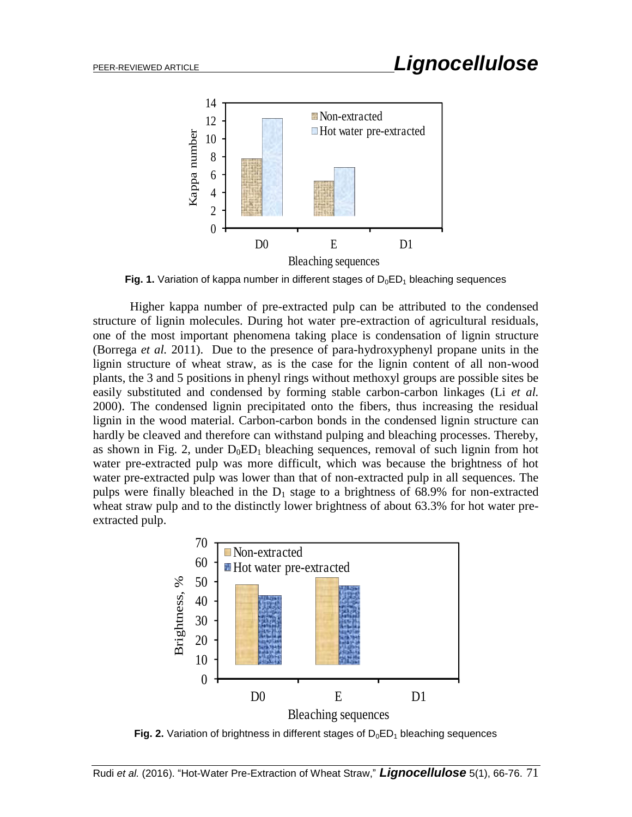

**Fig. 1.** Variation of kappa number in different stages of  $D_0ED_1$  bleaching sequences

Higher kappa number of pre-extracted pulp can be attributed to the condensed structure of lignin molecules. During hot water pre-extraction of agricultural residuals, one of the most important phenomena taking place is condensation of lignin structure (Borrega *et al.* 2011). Due to the presence of para-hydroxyphenyl propane units in the lignin structure of wheat straw, as is the case for the lignin content of all non-wood plants, the 3 and 5 positions in phenyl rings without methoxyl groups are possible sites be easily substituted and condensed by forming stable carbon-carbon linkages (Li *et al.* 2000). The condensed lignin precipitated onto the fibers, thus increasing the residual lignin in the wood material. Carbon-carbon bonds in the condensed lignin structure can hardly be cleaved and therefore can withstand pulping and bleaching processes. Thereby, as shown in Fig. 2, under  $D_0ED_1$  bleaching sequences, removal of such lignin from hot water pre-extracted pulp was more difficult, which was because the brightness of hot water pre-extracted pulp was lower than that of non-extracted pulp in all sequences. The pulps were finally bleached in the  $D_1$  stage to a brightness of 68.9% for non-extracted wheat straw pulp and to the distinctly lower brightness of about 63.3% for hot water preextracted pulp.



**Fig. 2.** Variation of brightness in different stages of  $D_0ED_1$  bleaching sequences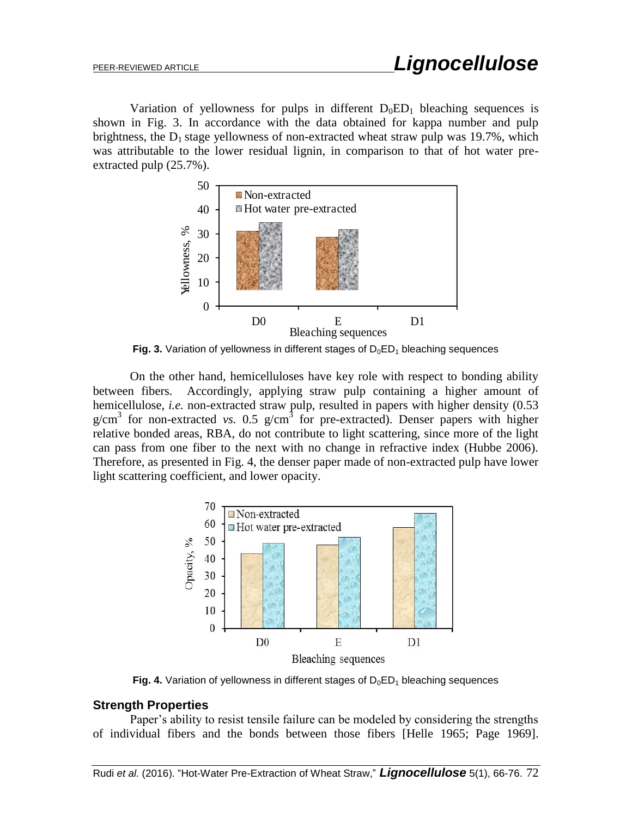Variation of yellowness for pulps in different  $D_0ED_1$  bleaching sequences is shown in Fig. 3. In accordance with the data obtained for kappa number and pulp brightness, the  $D_1$  stage yellowness of non-extracted wheat straw pulp was 19.7%, which was attributable to the lower residual lignin, in comparison to that of hot water preextracted pulp (25.7%).



**Fig. 3.** Variation of yellowness in different stages of  $D_0ED_1$  bleaching sequences

On the other hand, hemicelluloses have key role with respect to bonding ability between fibers. Accordingly, applying straw pulp containing a higher amount of hemicellulose, *i.e.* non-extracted straw pulp, resulted in papers with higher density (0.53)  $g/cm<sup>3</sup>$  for non-extracted *vs.* 0.5  $g/cm<sup>3</sup>$  for pre-extracted). Denser papers with higher relative bonded areas, RBA, do not contribute to light scattering, since more of the light can pass from one fiber to the next with no change in refractive index (Hubbe 2006). Therefore, as presented in Fig. 4, the denser paper made of non-extracted pulp have lower light scattering coefficient, and lower opacity.



**Fig. 4.** Variation of yellowness in different stages of  $D_0ED_1$  bleaching sequences

## **Strength Properties**

Paper's ability to resist tensile failure can be modeled by considering the strengths of individual fibers and the bonds between those fibers [Helle 1965; Page 1969].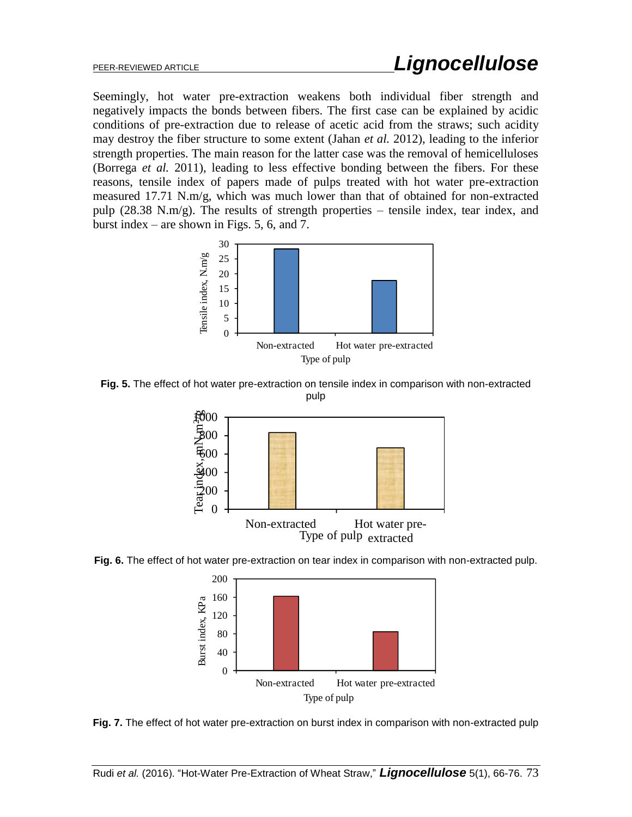Seemingly, hot water pre-extraction weakens both individual fiber strength and negatively impacts the bonds between fibers. The first case can be explained by acidic conditions of pre-extraction due to release of acetic acid from the straws; such acidity may destroy the fiber structure to some extent (Jahan *et al.* 2012), leading to the inferior strength properties. The main reason for the latter case was the removal of hemicelluloses (Borrega *et al.* 2011), leading to less effective bonding between the fibers. For these reasons, tensile index of papers made of pulps treated with hot water pre-extraction measured 17.71 N.m/g, which was much lower than that of obtained for non-extracted pulp (28.38 N.m/g). The results of strength properties – tensile index, tear index, and burst index – are shown in Figs. 5, 6, and 7.



**Fig. 5.** The effect of hot water pre-extraction on tensile index in comparison with non-extracted pulp



**Fig. 6.** The effect of hot water pre-extraction on tear index in comparison with non-extracted pulp.



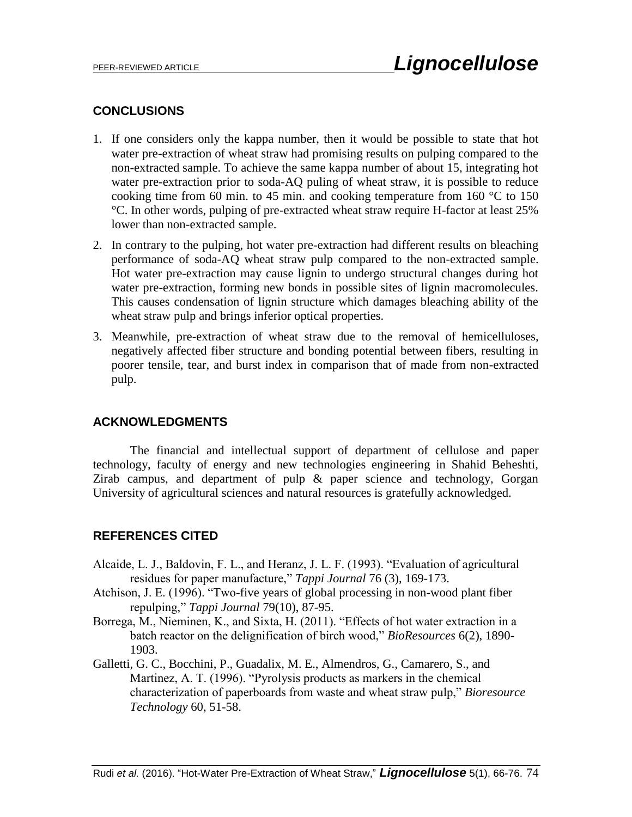## **CONCLUSIONS**

- 1. If one considers only the kappa number, then it would be possible to state that hot water pre-extraction of wheat straw had promising results on pulping compared to the non-extracted sample. To achieve the same kappa number of about 15, integrating hot water pre-extraction prior to soda-AQ puling of wheat straw, it is possible to reduce cooking time from 60 min. to 45 min. and cooking temperature from 160  $\degree$ C to 150 °C. In other words, pulping of pre-extracted wheat straw require H-factor at least 25% lower than non-extracted sample.
- 2. In contrary to the pulping, hot water pre-extraction had different results on bleaching performance of soda-AQ wheat straw pulp compared to the non-extracted sample. Hot water pre-extraction may cause lignin to undergo structural changes during hot water pre-extraction, forming new bonds in possible sites of lignin macromolecules. This causes condensation of lignin structure which damages bleaching ability of the wheat straw pulp and brings inferior optical properties.
- 3. Meanwhile, pre-extraction of wheat straw due to the removal of hemicelluloses, negatively affected fiber structure and bonding potential between fibers, resulting in poorer tensile, tear, and burst index in comparison that of made from non-extracted pulp.

## **ACKNOWLEDGMENTS**

The financial and intellectual support of department of cellulose and paper technology, faculty of energy and new technologies engineering in Shahid Beheshti, Zirab campus, and department of pulp & paper science and technology, Gorgan University of agricultural sciences and natural resources is gratefully acknowledged.

## **REFERENCES CITED**

- Alcaide, L. J., Baldovin, F. L., and Heranz, J. L. F. (1993). "Evaluation of agricultural residues for paper manufacture," *Tappi Journal* 76 (3), 169-173.
- Atchison, J. E. (1996). "Two-five years of global processing in non-wood plant fiber repulping," *Tappi Journal* 79(10), 87-95.
- Borrega, M., Nieminen, K., and Sixta, H. (2011). "Effects of hot water extraction in a batch reactor on the delignification of birch wood," *BioResources* 6(2), 1890- 1903.
- Galletti, G. C., Bocchini, P., Guadalix, M. E., Almendros, G., Camarero, S., and Martinez, A. T. (1996). "Pyrolysis products as markers in the chemical characterization of paperboards from waste and wheat straw pulp," *Bioresource Technology* 60, 51-58.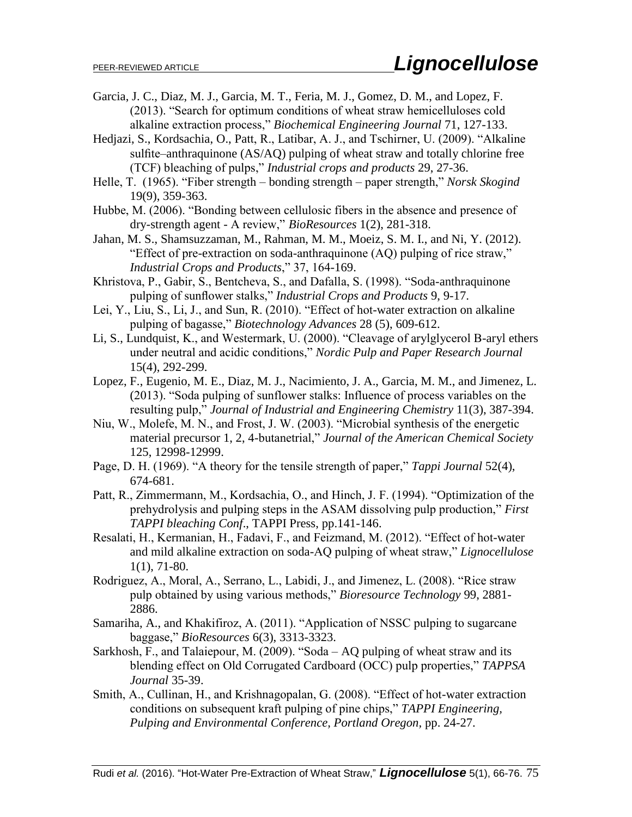- Garcia, J. C., Diaz, M. J., Garcia, M. T., Feria, M. J., Gomez, D. M., and Lopez, F. (2013). "Search for optimum conditions of wheat straw hemicelluloses cold alkaline extraction process," *Biochemical Engineering Journal* 71, 127-133.
- Hedjazi, S., Kordsachia, O., Patt, R., Latibar, A. J., and Tschirner, U. (2009). "Alkaline sulfite–anthraquinone (AS/AQ) pulping of wheat straw and totally chlorine free (TCF) bleaching of pulps," *Industrial crops and products* 29, 27-36.
- Helle, T. (1965). "Fiber strength bonding strength paper strength," *Norsk Skogind* 19(9), 359-363.
- Hubbe, M. (2006). "Bonding between cellulosic fibers in the absence and presence of dry-strength agent - A review," *BioResources* 1(2), 281-318.
- Jahan, M. S., Shamsuzzaman, M., Rahman, M. M., Moeiz, S. M. I., and Ni, Y. (2012). "Effect of pre-extraction on soda-anthraquinone (AQ) pulping of rice straw," *Industrial Crops and Products*," 37, 164-169.
- Khristova, P., Gabir, S., Bentcheva, S., and Dafalla, S. (1998). "Soda-anthraquinone pulping of sunflower stalks," *Industrial Crops and Products* 9, 9-17.
- Lei, Y., Liu, S., Li, J., and Sun, R. (2010). "Effect of hot-water extraction on alkaline pulping of bagasse," *Biotechnology Advances* 28 (5), 609-612.
- Li, S., Lundquist, K., and Westermark, U. (2000). "Cleavage of arylglycerol B-aryl ethers under neutral and acidic conditions," *Nordic Pulp and Paper Research Journal*  15(4), 292-299.
- Lopez, F., Eugenio, M. E., Diaz, M. J., Nacimiento, J. A., Garcia, M. M., and Jimenez, L. (2013). "Soda pulping of sunflower stalks: Influence of process variables on the resulting pulp," *Journal of Industrial and Engineering Chemistry* 11(3), 387-394.
- Niu, W., Molefe, M. N., and Frost, J. W. (2003). "Microbial synthesis of the energetic material precursor 1, 2, 4-butanetrial," *Journal of the American Chemical Society* 125, 12998-12999.
- Page, D. H. (1969). "A theory for the tensile strength of paper," *Tappi Journal* 52(4), 674-681.
- Patt, R., Zimmermann, M., Kordsachia, O., and Hinch, J. F. (1994). "Optimization of the prehydrolysis and pulping steps in the ASAM dissolving pulp production," *First TAPPI bleaching Conf*., TAPPI Press, pp.141-146.
- Resalati, H., Kermanian, H., Fadavi, F., and Feizmand, M. (2012). "Effect of hot-water and mild alkaline extraction on soda-AQ pulping of wheat straw," *Lignocellulose* 1(1), 71-80.
- Rodriguez, A., Moral, A., Serrano, L., Labidi, J., and Jimenez, L. (2008). "Rice straw pulp obtained by using various methods," *Bioresource Technology* 99, 2881- 2886.
- Samariha, A., and Khakifiroz, A. (2011). "Application of NSSC pulping to sugarcane baggase," *BioResources* 6(3), 3313-3323.
- Sarkhosh, F., and Talaiepour, M. (2009). "Soda AQ pulping of wheat straw and its blending effect on Old Corrugated Cardboard (OCC) pulp properties," *TAPPSA Journal* 35-39.
- Smith, A., Cullinan, H., and Krishnagopalan, G. (2008). "Effect of hot-water extraction conditions on subsequent kraft pulping of pine chips," *TAPPI Engineering, Pulping and Environmental Conference, Portland Oregon,* pp. 24-27.